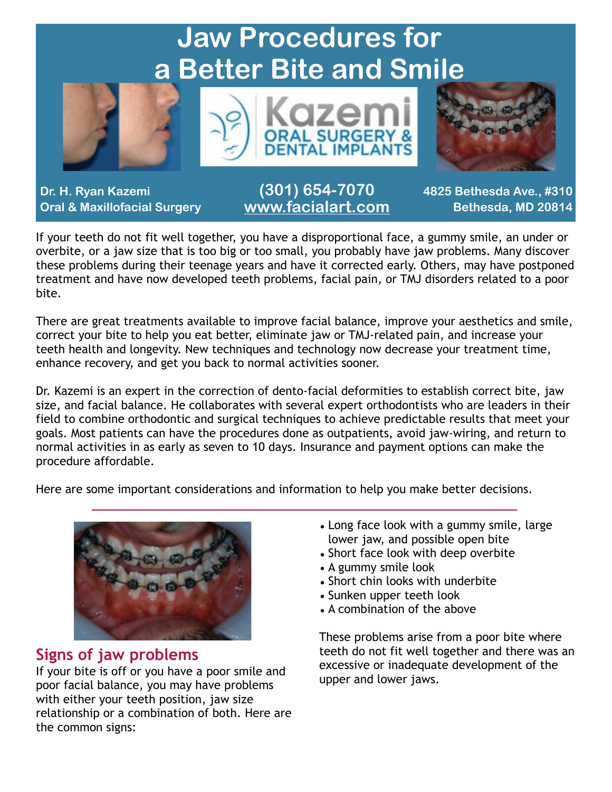

If your teeth do not fit well together, you have a disproportional face, a gummy smile, an under or overbite, or a jaw size that is too big or too small, you probably have jaw problems. Many discover these problems during their teenage years and have it corrected early. Others, may have postponed treatment and have now developed teeth problems, facial pain, or TMJ disorders related to a poor bite.

There are great treatments available to improve facial balance, improve your aesthetics and smile, correct your bite to help you eat better, eliminate jaw or TMJ-related pain, and increase your teeth health and longevity. New techniques and technology now decrease your treatment time, enhance recovery, and get you back to normal activities sooner.

Dr. Kazemi is an expert in the correction of dento-facial deformities to establish correct bite, jaw size, and facial balance. He collaborates with several expert orthodontists who are leaders in their field to combine orthodontic and surgical techniques to achieve predictable results that meet your goals. Most patients can have the procedures done as outpatients, avoid jaw-wiring, and return to normal activities in as early as seven to 10 days. Insurance and payment options can make the procedure affordable.

Here are some important considerations and information to help you make better decisions.



#### **Signs of jaw problems**

If your bite is off or you have a poor smile and poor facial balance, you may have problems with either your teeth position, jaw size relationship or a combination of both. Here are the common signs:

- Long face look with a gummy smile, large lower jaw, and possible open bite
- Short face look with deep overbite
- A gummy smile look
- Short chin looks with underbite
- Sunken upper teeth look
- A combination of the above

These problems arise from a poor bite where teeth do not fit well together and there was an excessive or inadequate development of the upper and lower jaws.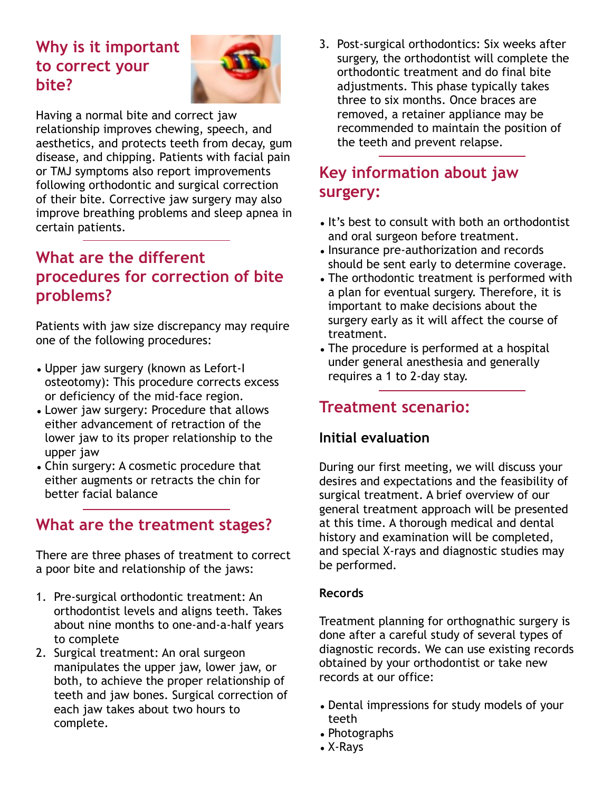# **Why is it important to correct your bite?**



Having a normal bite and correct jaw relationship improves chewing, speech, and aesthetics, and protects teeth from decay, gum disease, and chipping. Patients with facial pain or TMJ symptoms also report improvements following orthodontic and surgical correction of their bite. Corrective jaw surgery may also improve breathing problems and sleep apnea in certain patients.

### **What are the different procedures for correction of bite problems?**

Patients with jaw size discrepancy may require one of the following procedures:

- Upper jaw surgery (known as Lefort-I osteotomy): This procedure corrects excess or deficiency of the mid-face region.
- Lower jaw surgery: Procedure that allows either advancement of retraction of the lower jaw to its proper relationship to the upper jaw
- Chin surgery: A cosmetic procedure that either augments or retracts the chin for better facial balance

## **What are the treatment stages?**

There are three phases of treatment to correct a poor bite and relationship of the jaws:

- 1. Pre-surgical orthodontic treatment: An orthodontist levels and aligns teeth. Takes about nine months to one-and-a-half years to complete
- 2. Surgical treatment: An oral surgeon manipulates the upper jaw, lower jaw, or both, to achieve the proper relationship of teeth and jaw bones. Surgical correction of each jaw takes about two hours to complete.

3. Post-surgical orthodontics: Six weeks after surgery, the orthodontist will complete the orthodontic treatment and do final bite adjustments. This phase typically takes three to six months. Once braces are removed, a retainer appliance may be recommended to maintain the position of the teeth and prevent relapse.

# **Key information about jaw surgery:**

- It's best to consult with both an orthodontist and oral surgeon before treatment.
- Insurance pre-authorization and records should be sent early to determine coverage.
- The orthodontic treatment is performed with a plan for eventual surgery. Therefore, it is important to make decisions about the surgery early as it will affect the course of treatment.
- The procedure is performed at a hospital under general anesthesia and generally requires a 1 to 2-day stay.

## **Treatment scenario:**

### **Initial evaluation**

During our first meeting, we will discuss your desires and expectations and the feasibility of surgical treatment. A brief overview of our general treatment approach will be presented at this time. A thorough medical and dental history and examination will be completed, and special X-rays and diagnostic studies may be performed.

#### **Records**

Treatment planning for orthognathic surgery is done after a careful study of several types of diagnostic records. We can use existing records obtained by your orthodontist or take new records at our office:

- Dental impressions for study models of your teeth
- Photographs
- X-Rays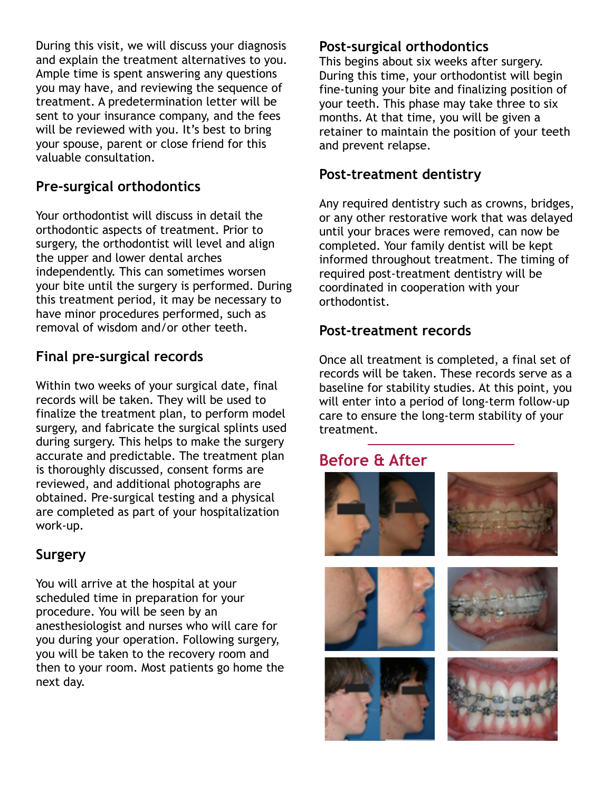During this visit, we will discuss your diagnosis and explain the treatment alternatives to you. Ample time is spent answering any questions you may have, and reviewing the sequence of treatment. A predetermination letter will be sent to your insurance company, and the fees will be reviewed with you. It's best to bring your spouse, parent or close friend for this valuable consultation.

#### **Pre-surgical orthodontics**

Your orthodontist will discuss in detail the orthodontic aspects of treatment. Prior to surgery, the orthodontist will level and align the upper and lower dental arches independently. This can sometimes worsen your bite until the surgery is performed. During this treatment period, it may be necessary to have minor procedures performed, such as removal of wisdom and/or other teeth.

### **Final pre-surgical records**

Within two weeks of your surgical date, final records will be taken. They will be used to finalize the treatment plan, to perform model surgery, and fabricate the surgical splints used during surgery. This helps to make the surgery accurate and predictable. The treatment plan is thoroughly discussed, consent forms are reviewed, and additional photographs are obtained. Pre-surgical testing and a physical are completed as part of your hospitalization work-up.

### **Surgery**

You will arrive at the hospital at your scheduled time in preparation for your procedure. You will be seen by an anesthesiologist and nurses who will care for you during your operation. Following surgery, you will be taken to the recovery room and then to your room. Most patients go home the next day.

#### **Post-surgical orthodontics**

This begins about six weeks after surgery. During this time, your orthodontist will begin fine-tuning your bite and finalizing position of your teeth. This phase may take three to six months. At that time, you will be given a retainer to maintain the position of your teeth and prevent relapse.

#### **Post-treatment dentistry**

Any required dentistry such as crowns, bridges, or any other restorative work that was delayed until your braces were removed, can now be completed. Your family dentist will be kept informed throughout treatment. The timing of required post-treatment dentistry will be coordinated in cooperation with your orthodontist.

#### **Post-treatment records**

Once all treatment is completed, a final set of records will be taken. These records serve as a baseline for stability studies. At this point, you will enter into a period of long-term follow-up care to ensure the long-term stability of your treatment.

## **Before & After**

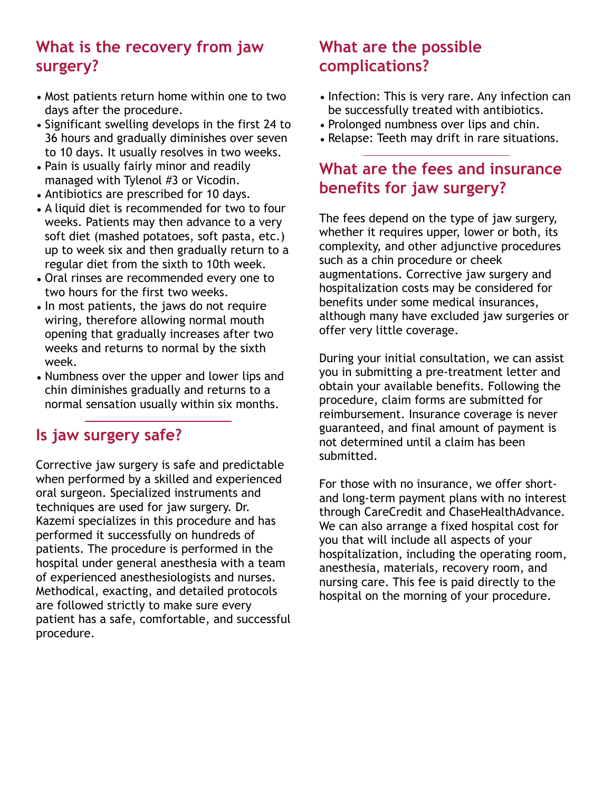# **What is the recovery from jaw surgery?**

- Most patients return home within one to two days after the procedure.
- Significant swelling develops in the first 24 to 36 hours and gradually diminishes over seven to 10 days. It usually resolves in two weeks.
- Pain is usually fairly minor and readily managed with Tylenol #3 or Vicodin.
- Antibiotics are prescribed for 10 days.
- A liquid diet is recommended for two to four weeks. Patients may then advance to a very soft diet (mashed potatoes, soft pasta, etc.) up to week six and then gradually return to a regular diet from the sixth to 10th week.
- Oral rinses are recommended every one to two hours for the first two weeks.
- In most patients, the jaws do not require wiring, therefore allowing normal mouth opening that gradually increases after two weeks and returns to normal by the sixth week.
- Numbness over the upper and lower lips and chin diminishes gradually and returns to a normal sensation usually within six months.

# **Is jaw surgery safe?**

Corrective jaw surgery is safe and predictable when performed by a skilled and experienced oral surgeon. Specialized instruments and techniques are used for jaw surgery. Dr. Kazemi specializes in this procedure and has performed it successfully on hundreds of patients. The procedure is performed in the hospital under general anesthesia with a team of experienced anesthesiologists and nurses. Methodical, exacting, and detailed protocols are followed strictly to make sure every patient has a safe, comfortable, and successful procedure.

# **What are the possible complications?**

- Infection: This is very rare. Any infection can be successfully treated with antibiotics.
- Prolonged numbness over lips and chin.
- Relapse: Teeth may drift in rare situations.

### **What are the fees and insurance benefits for jaw surgery?**

The fees depend on the type of jaw surgery, whether it requires upper, lower or both, its complexity, and other adjunctive procedures such as a chin procedure or cheek augmentations. Corrective jaw surgery and hospitalization costs may be considered for benefits under some medical insurances, although many have excluded jaw surgeries or offer very little coverage.

During your initial consultation, we can assist you in submitting a pre-treatment letter and obtain your available benefits. Following the procedure, claim forms are submitted for reimbursement. Insurance coverage is never guaranteed, and final amount of payment is not determined until a claim has been submitted.

For those with no insurance, we offer shortand long-term payment plans with no interest through CareCredit and ChaseHealthAdvance. We can also arrange a fixed hospital cost for you that will include all aspects of your hospitalization, including the operating room, anesthesia, materials, recovery room, and nursing care. This fee is paid directly to the hospital on the morning of your procedure.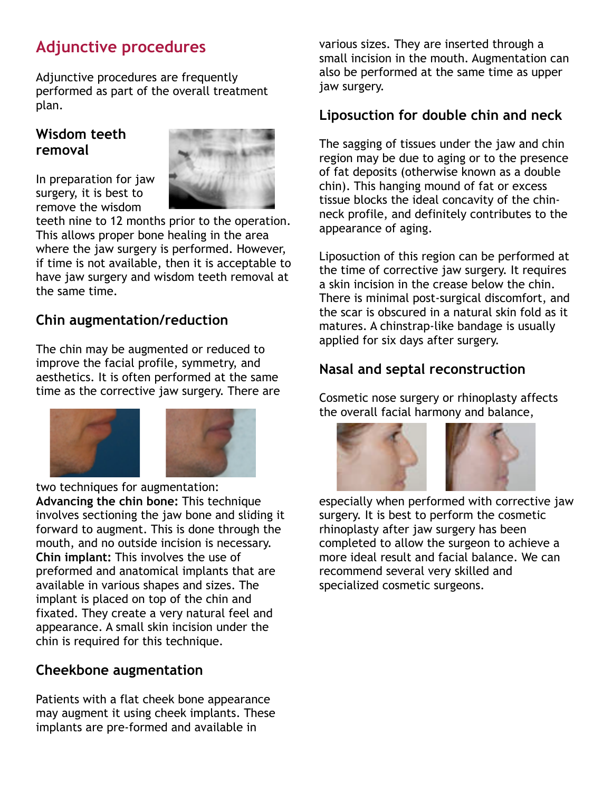# **Adjunctive procedures**

Adjunctive procedures are frequently performed as part of the overall treatment plan.

#### **Wisdom teeth removal**

In preparation for jaw surgery, it is best to remove the wisdom



teeth nine to 12 months prior to the operation. This allows proper bone healing in the area where the jaw surgery is performed. However, if time is not available, then it is acceptable to have jaw surgery and wisdom teeth removal at the same time.

### **Chin augmentation/reduction**

The chin may be augmented or reduced to improve the facial profile, symmetry, and aesthetics. It is often performed at the same time as the corrective jaw surgery. There are



two techniques for augmentation: **Advancing the chin bone:** This technique involves sectioning the jaw bone and sliding it forward to augment. This is done through the mouth, and no outside incision is necessary. **Chin implant:** This involves the use of preformed and anatomical implants that are available in various shapes and sizes. The implant is placed on top of the chin and fixated. They create a very natural feel and appearance. A small skin incision under the chin is required for this technique.

#### **Cheekbone augmentation**

Patients with a flat cheek bone appearance may augment it using cheek implants. These implants are pre-formed and available in

various sizes. They are inserted through a small incision in the mouth. Augmentation can also be performed at the same time as upper jaw surgery.

#### **Liposuction for double chin and neck**

The sagging of tissues under the jaw and chin region may be due to aging or to the presence of fat deposits (otherwise known as a double chin). This hanging mound of fat or excess tissue blocks the ideal concavity of the chinneck profile, and definitely contributes to the appearance of aging.

Liposuction of this region can be performed at the time of corrective jaw surgery. It requires a skin incision in the crease below the chin. There is minimal post-surgical discomfort, and the scar is obscured in a natural skin fold as it matures. A chinstrap-like bandage is usually applied for six days after surgery.

### **Nasal and septal reconstruction**

Cosmetic nose surgery or rhinoplasty affects the overall facial harmony and balance,



especially when performed with corrective jaw surgery. It is best to perform the cosmetic rhinoplasty after jaw surgery has been completed to allow the surgeon to achieve a more ideal result and facial balance. We can recommend several very skilled and specialized cosmetic surgeons.